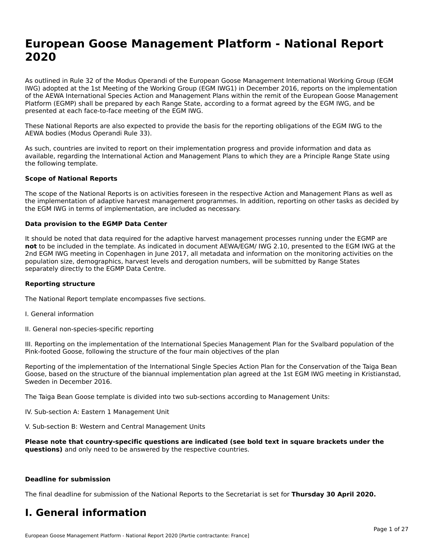# **European Goose Management Platform - National Report**European Goose Management Platform - National **Neport**<br>2020

As outlined in Rule 32 of the Modus Operandi of the European Goose Management International Working Group (EGM As buthled in Rule 32 of the Modus Operandi of the Lufopean Goose Management International Working Group (LGM<br>IWG) adopted at the 1st Meeting of the Working Group (EGM IWG1) in December 2016, reports on the implementation of the AEWA International Species Action and Management Plans within the remit of the European Goose Management Platform (EGMP) shall be prepared by each Range State, according to a format agreed by the EGM IWG, and be presented at each face-to-face meeting of the EGM IWG.

These National Reports are also expected to provide the basis for the reporting obligations of the EGM IWG to the AEWA bodies (Modus Operandi Rule 33).

As such, countries are invited to report on their implementation progress and provide information and data as<br>available, regarding the International Action and Management Plans to which they are a Principle Range State usi available, regarding the International Action and Management Plans to which they are a Principle Range State using the following template.

#### **Scope of National Reports**

The scope of the National Reports is on activities foreseen in the respective Action and Management Plans as well as The scope of the National Reports is on activities foreseen in the respective Action and Management Plans as well as<br>the implementation of adaptive harvest management programmes. In addition, reporting on other tasks as de the EGM IWG in terms of implementation, are included as necessary.

#### **Data provision to the EGMP Data Center**

It should be noted that data required for the adaptive harvest management processes running under the EGMP are **not** to be included in the template. As indicated in document AEWA/EGM/ IWG 2.10, presented to the EGM IWG at the 2nd EGM IWG meeting in Copenhagen in June 2017, all metadata and information on the monitoring activities on the population size, demographics, harvest levels and derogation numbers, will be submitted by Range States separately directly to the EGMP Data Centre.

#### **Reporting structure**

The National Report template encompasses five sections.

- I. General information
- II. General non-species-specific reporting

III. Reporting on the implementation of the International Species Management Plan for the Svalbard population of the

Reporting of the implementation of the International Single Species Action Plan for the Conservation of the Taiga Bean Reporting of the implementation of the international single species Action Fram for the conservation of the laiga beam<br>Goose, based on the structure of the biannual implementation plan agreed at the 1st EGM IWG meeting in

The Taiga Bean Goose template is divided into two sub-sections according to Management Units:

IV. Sub-section A: Eastern 1 Management Unit

V. Sub-section B: Western and Central Management Units

**Please note that country-specific questions are indicated (see bold text in square brackets under the questions)** and only need to be answered by the respective countries.

#### **Deadline for submission**

The final deadline for submission of the National Reports to the Secretariat is set for **Thursday 30 April 2020.**

### **I. General information**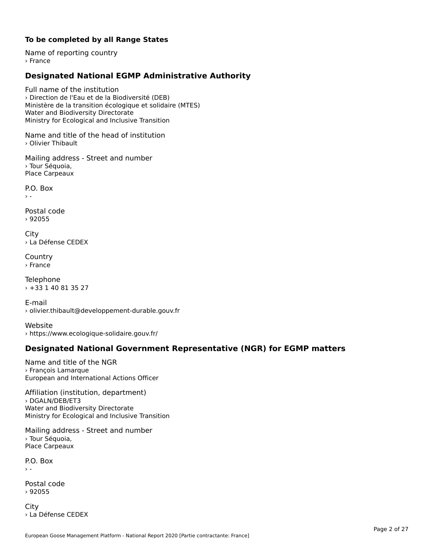## **To be completed by all Range States**

Name of reporting country› France

# **Designated National EGMP Administrative Authority**

Full name of the institution› Direction de l'Eau et de la Biodiversité (DEB)Ministère de la transition écologique et solidaire (MTES) winnstere de la transition ecologiqu<br>Water and Biodiversity Directorate water and Biodiversity Birectorate<br>Ministry for Ecological and Inclusive Transition

Name and title of the head of institution› Olivier Thibault

Mailing address - Street and number› Tour Séquoia,Place Carpeaux

P.O. Box $\rightarrow$   $-$ 

Postal code› 92055

City › La Défense CEDEX

**Country** › France

Telephone › +33 1 40 81 35 27

E-mail › olivier.thibault@developpement-durable.gouv.fr

Website› https://www.ecologique-solidaire.gouv.fr/

# **Designated National Government Representative (NGR) for EGMP matters**

Name and title of the NGR› François LamarqueEuropean and International Actions Officer

Affiliation (institution, department) › DGALN/DEB/ET3Water and Biodiversity Directorate water and Biodiversity Birectorate<br>Ministry for Ecological and Inclusive Transition

Mailing address - Street and number › Tour Séquoia, Place Carpeaux

P.O. Box  $\rightarrow$  -

Postal code› 92055

**City** › La Défense CEDEX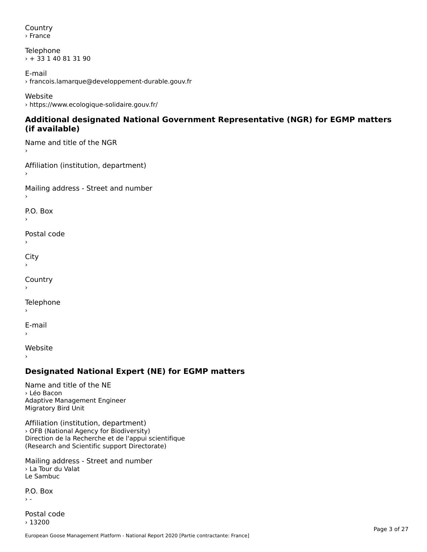Country› France

Telephone › + 33 1 40 81 31 90

E-mail › francois.lamarque@developpement-durable.gouv.fr

Website› https://www.ecologique-solidaire.gouv.fr/

### **Additional designated National Government Representative (NGR) for EGMP matters (if available)**(if available)

Name and title of the NGR›

Affiliation (institution, department)›

Mailing address - Street and number

P.O. Box

Postal code›

City

**Country** 

Telephone

E-mail›

›

Website

# **Designated National Expert (NE) for EGMP matters**

Name and title of the NE› Léo BaconAdaptive Management Engineer Adaptive Managem<br>Migratory Bird Unit

Affiliation (institution, department) › OFB (National Agency for Biodiversity) Direction de la Recherche et de l'appui scientifique Direction de la Recherche et de l'appul scient<br>(Research and Scientific support Directorate)

Mailing address - Street and number › La Tour du Valat <sup>2</sup> La Tour de

P.O. Box

Postal code› 13200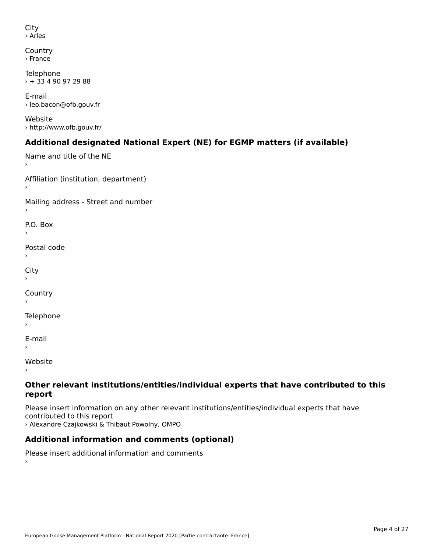```
City
› Arles
```

```
Country
› France
```
Telephone  $\rightarrow$  + 33 4 90 97 29 88

E-mail› leo.bacon@ofb.gouv.fr

Website› http://www.ofb.gouv.fr/

# **Additional designated National Expert (NE) for EGMP matters (if available)**

```
Name and title of the NE
Affiliation (institution, department)
Mailing address - Street and number
P.O. Box›Postal code›\mathbf{C}^{\text{th}}›Country
Telephone
E-mail›
```
Website

›

### **Other relevant institutions/entities/individual experts that have contributed to this report**report

Please insert information on any other relevant institutions/entities/individual experts that have › Alexandre Czajkowski & Thibaut Powolny, OMPO

# **Additional information and comments (optional)**

Please insert additional information and comments ›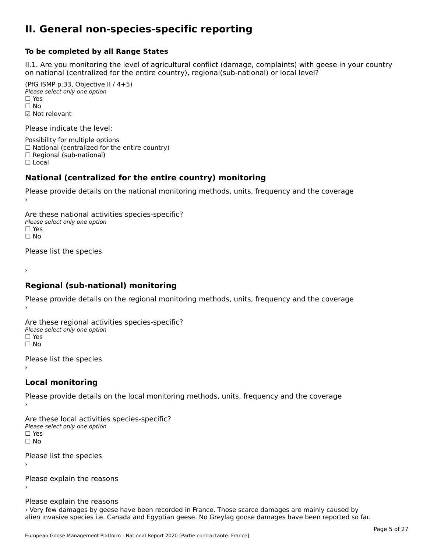## **II. General non-species-specific reporting**

#### **To be completed by all Range States**

II.1. Are you monitoring the level of agricultural conflict (damage, complaints) with geese in your country n.i. Are you monitoring the lever or agricultural connict (damage, complaints) with g<br>on national (centralized for the entire country), regional(sub-national) or local level?

(PfG ISMP p.33, Objective II  $(4+5)$ ) ∪ is in p.55, objective<br>Please select only one option □ Yes<br>□ No ☑ Not relevant

Please indicate the level:

Possibility for multiple options  $\Box$  National (centralized for the entire country)  $\Box$  Regional (sub-national)

☐ Local

#### **National (centralized for the entire country) monitoring**

Please provide details on the national monitoring methods, units, frequency and the coverage

Are these national activities species-specific? ∩ne enese national activity<br>Please select only one option ☐ No $\Box$  No

Please list the species

›

#### **Regional (sub-national) monitoring**

Please provide details on the regional monitoring methods, units, frequency and the coverage

Are these regional activities species-specific? ∩ne these regional activ<br>Please select only one option □ Yes<br>□ No

Please list the species ›

#### **Local monitoring**

Please provide details on the local monitoring methods, units, frequency and the coverage

Are these local activities species-specific? ∩ne enese local decrimed.<br>Please select only one option □ Yes<br>□ No

Please list the species ›

Please explain the reasons

Please explain the reasons

› Very few damages by geese have been recorded in France. Those scarce damages are mainly caused by alien invasive species i.e. Canada and Egyptian geese. No Greylag goose damages have been reported so far.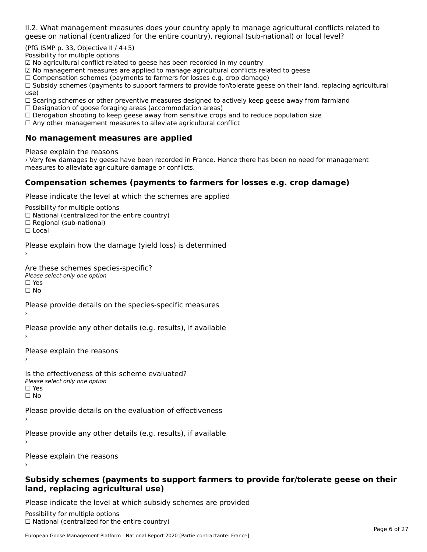II.2. What management measures does your country apply to manage agricultural conflicts related to

(PfG ISMP p. 33, Objective II  $/$  4+5)

Possibility for multiple options

☑ No agricultural conflict related to geese has been recorded in my country  $\Xi$  No agricultural conflict related to geese has been recorded in my country.

 $\Xi$  No management measures are applied to manage agricultural commets relations

 $\Box$  Compensation schemes (payments to farmers for losses e.g. crop damage)

□ Compensation schemes (payments to farmers for losses e.g. crop damage)<br>□ Subsidy schemes (payments to support farmers to provide for/tolerate geese on their land, replacing agricultural use)

use,<br>□ Scaring schemes or other preventive measures designed to actively keep geese away from farmland

 $\Box$  Designation of goose foraging areas (accommodation areas)

□ Designation of goose foraging areas (accommodation areas)<br>□ Derogation shooting to keep geese away from sensitive crops and to reduce population size

 $\Box$  Any other management measures to alleviate agricultural conflict

## **No management measures are applied**

Please explain the reasons

› Very few damages by geese have been recorded in France. Hence there has been no need for management measures to alleviate agriculture damage or conflicts.

# **Compensation schemes (payments to farmers for losses e.g. crop damage)**

Please indicate the level at which the schemes are applied

Possibility for multiple options rossibility for multiple options<br>□ National (centralized for the entire country) □ National (centralized io<br>□ Regional (sub-national)

☐ Local

›

Please explain how the damage (yield loss) is determined

Are these schemes species-specific?∩ne these senemes spee<br>Please select only one option ים וכ∍<br>⊡ No

Please provide details on the species-specific measures

Please provide any other details (e.g. results), if available

Please explain the reasons›

Is the effectiveness of this scheme evaluated?□ CITC CITCCLIVERESS OF C<br>Please select only one option □ Yes<br>□ No

Please provide details on the evaluation of effectiveness

Please provide any other details (e.g. results), if available

Please explain the reasons

### **Subsidy schemes (payments to support farmers to provide for/tolerate geese on their land, replacing agricultural use)**land, replacing agricultural use)

Please indicate the level at which subsidy schemes are provided

Possibility for multiple options ™assibility for multiple options<br>□ National (centralized for the entire country)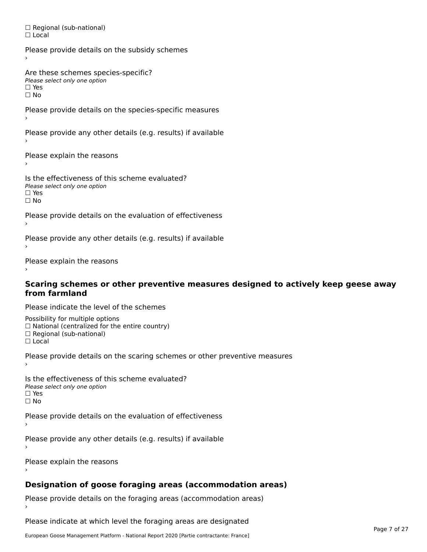□ Regional (sub-national) ☐ Local

Please provide details on the subsidy schemes Are these schemes species-specific? ∩ne these senemes spee<br>Please select only one option □ Yes<br>□ No Please provide details on the species-specific measures Please provide any other details (e.g. results) if available Please explain the reasons ›

Is the effectiveness of this scheme evaluated?□ CILCCCCCICIOS OF C<br>Please select only one option  $\square$  Yes ☐ No

Please provide details on the evaluation of effectiveness

Please provide any other details (e.g. results) if available

Please explain the reasons

### **Scaring schemes or other preventive measures designed to actively keep geese away from farmland**

Please indicate the level of the schemes

Possibility for multiple options rossibility for multiple options<br>□ National (centralized for the entire country) □ National (centralized io<br>□ Regional (sub-national)

☐ Local

Please provide details on the scaring schemes or other preventive measures

Is the effectiveness of this scheme evaluated?□ CITC CITCCLIVERESS OF C<br>Please select only one option □ Yes<br>□ No

Please provide details on the evaluation of effectiveness

Please provide any other details (e.g. results) if available

Please explain the reasons

# **Designation of goose foraging areas (accommodation areas)**

Please provide details on the foraging areas (accommodation areas)

Please indicate at which level the foraging areas are designated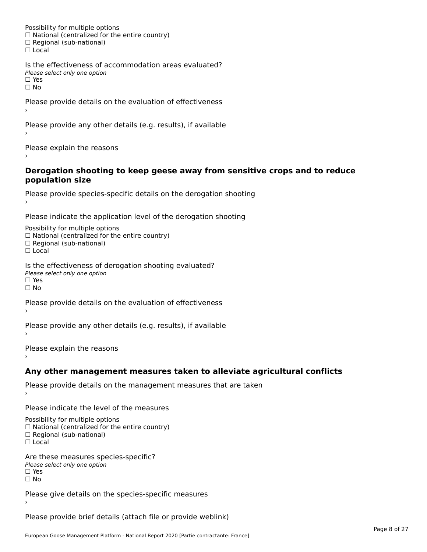Possibility for multiple options rossibility for multiple options<br>□ National (centralized for the entire country) □ National (centralized io<br>□ Regional (sub-national) ☐ Local

Is the effectiveness of accommodation areas evaluated?□ CITC CITCCITCITESS OF Q<br>Please select only one option  $\square$  Yes ☐ No

Please provide details on the evaluation of effectiveness

Please provide any other details (e.g. results), if available

Please explain the reasons

### **Derogation shooting to keep geese away from sensitive crops and to reduce population size**population size

```
Please provide species-specific details on the derogation shooting ›
```
Please indicate the application level of the derogation shooting

Possibility for multiple options rossibility for multiple options<br>□ National (centralized for the entire country)

□ National (centralized io<br>□ Regional (sub-national)

☐ Local

Is the effectiveness of derogation shooting evaluated? Please select only one option

rıease<br>□ Yes

☐ No

Please provide details on the evaluation of effectiveness

Please provide any other details (e.g. results), if available

Please explain the reasons

# **Any other management measures taken to alleviate agricultural conflicts**

Please provide details on the management measures that are taken

Please indicate the level of the measures

Possibility for multiple options rossibility for multiple options<br>□ National (centralized for the entire country) □ National (centralized io<br>□ Regional (sub-national)

☐ Local

Are these measures species-specific? ric criese measures spe<br>Please select only one option *riease*<br>□ Yes ☐ No

Please give details on the species-specific measures

Please provide brief details (attach file or provide weblink)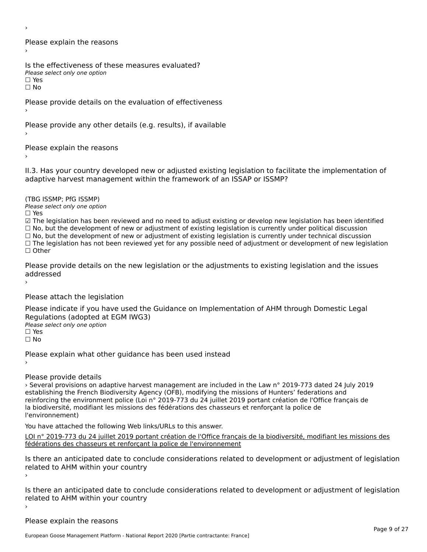›

Please explain the reasons›

Is the effectiveness of these measures evaluated? Please select only one option

☐ Yes

ים וכ∍<br>⊡ No

Please provide details on the evaluation of effectiveness

Please provide any other details (e.g. results), if available

Please explain the reasons

II.3. Has your country developed new or adjusted existing legislation to facilitate the implementation of

(TBG ISSMP; PfG ISSMP)

Please select only one option ☐ Yes

☑ The legislation has been reviewed and no need to adjust existing or develop new legislation has been identified ⊠ The regislation has been reviewed and no need to adjust existing or develop new regislation has been identi<br>□ No, but the development of new or adjustment of existing legislation is currently under political discussion

□ No, but the development of new or adjustment of existing legislation is currently under political discussion<br>□ No, but the development of new or adjustment of existing legislation is currently under technical discussion

☐ The legislation has not been reviewed yet for any possible need of adjustment or development of new legislation ☐ Other

Please provide details on the new legislation or the adjustments to existing legislation and the issues addressed

Please attach the legislation

Please indicate if you have used the Guidance on Implementation of AHM through Domestic Legal Regulations (adopted at EGM IWG3)Please select only one option ☐ Yes

☐ No

Please explain what other guidance has been used instead

Please provide details

› Several provisions on adaptive harvest management are included in the Law n° 2019-773 dated 24 July 2019 establishing the French Biodiversity Agency (OFB), modifying the missions of Hunters' federations and reinforcing the environment police (Loi n° 2019-773 du 24 juillet 2019 portant création de l'Office français de la biodiversité, modifiant les missions des fédérations des chasseurs et renforçant la police de l'environnement)

You have attached the following Web links/URLs to this answer.

LOI n° 2019-773 du 24 juillet 2019 portant création de l'Office français de la biodiversité, modifiant les missions des <u>comme zo i se rigilia del junier zo i a politant creation de l'Onice n'ançal</u><br>[fédérations des chasseurs et renforçant la police de l'environnement](https://www.legifrance.gouv.fr/affichTexte.do;jsessionid=C81E115F32BBA599A11391B160F5EE57.tplgfr21s_1?cidTexte=JORFTEXT000038821234&categorieLien=id)

Is there an anticipated date to conclude considerations related to development or adjustment of legislation is there an anticipated date to cont<br>related to AHM within your country ›

Is there an anticipated date to conclude considerations related to development or adjustment of legislation Proced to Arm within your country

Please explain the reasons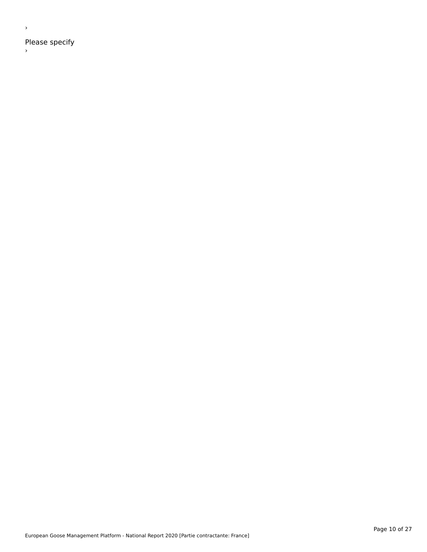Please specify

 $\rightarrow$ 

›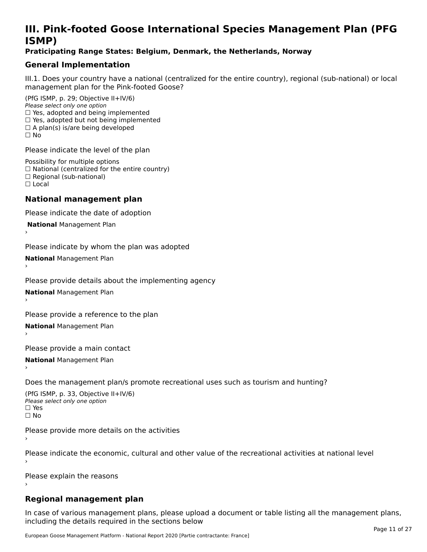# **III. Pink-footed Goose International Species Management Plan (PFG**III. FIIIN-IUULEU GUUSE IIILEI II**atiunai Species Management Fian (FTG**<br>ISMD)

## **Praticipating Range States: Belgium, Denmark, the Netherlands, Norway**

# **General Implementation**

III.1. Does your country have a national (centralized for the entire country), regional (sub-national) or local

(PfG ISMP, p. 29; Objective II+IV/6) Please select only one option *riease select only one option*<br>□ Yes, adopted and being implemented  $\Box$  res, adopted and being implemented<br> $\Box$  Yes, adopted but not being implemented  $\Box$  A plan(s) is/are being developed ☐ No

Please indicate the level of the plan

Possibility for multiple options rossibility for multiple options<br>□ National (centralized for the entire country) □ National (centralized io<br>□ Regional (sub-national) ☐ Local

#### **National management plan**

Please indicate the date of adoption

 **National** Management Plan

›

Please indicate by whom the plan was adopted

**National** Management Plan ›

Please provide details about the implementing agency

**National** Management Plan ›

Please provide a reference to the plan

**National** Management Plan ›

Please provide a main contact

**National** Management Plan ›

Does the management plan/s promote recreational uses such as tourism and hunting?

(PfG ISMP, p. 33, Objective II+IV/6) Please select only one optionPlease select only one option  $\square$  Yes ☐ No

Please provide more details on the activities

Please indicate the economic, cultural and other value of the recreational activities at national level

Please explain the reasons

# **Regional management plan**

In case of various management plans, please upload a document or table listing all the management plans,in case or various management plans, please uploa<br>in the direct below the its required in the sections below including the details required in the sections below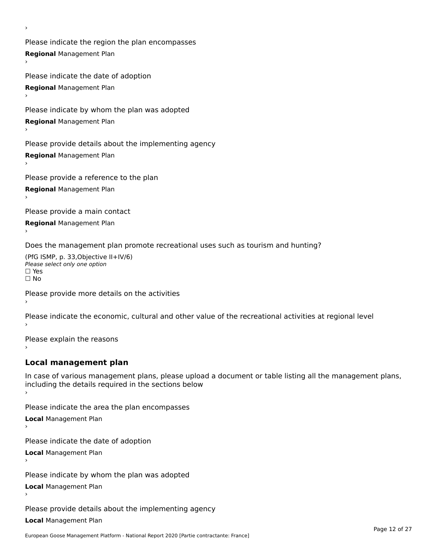Please indicate the region the plan encompasses **Regional** Management Plan

Please indicate the date of adoption **Regional** Management Plan ›

Please indicate by whom the plan was adopted

**Regional** Management Plan

›

Please provide details about the implementing agency

**Regional** Management Plan

Please provide a reference to the plan

**Regional** Management Plan

Please provide a main contact

**Regional** Management Plan

Does the management plan promote recreational uses such as tourism and hunting?

(PfG ISMP, p. 33,Objective II+IV/6) ∩∩ וויוכו פון<br>Please select only one option<br>□ Yes □ Yes<br>□ No

Please provide more details on the activities

Please indicate the economic, cultural and other value of the recreational activities at regional level

Please explain the reasons ›

# **Local management plan**

In case of various management plans, please upload a document or table listing all the management plans, In case of various management plans, please uploa<br>including the details required in the sections below

Please indicate the area the plan encompasses

**Local** Management Plan

Please indicate the date of adoption

**Local** Management Plan›

Please indicate by whom the plan was adopted

**Local** Management Plan

Please provide details about the implementing agency

**Local** Management Plan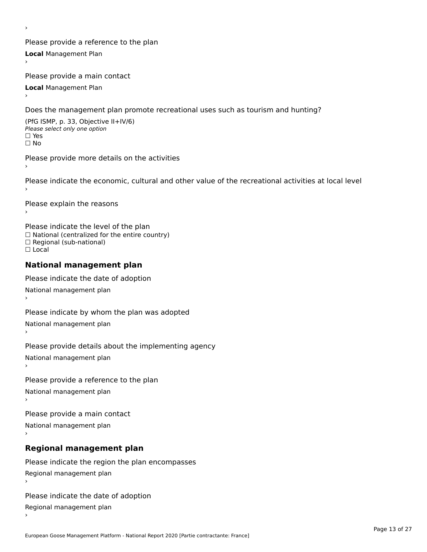Please provide a reference to the plan **Local** Management Plan

Please provide a main contact

**Local** Management Plan

›

Does the management plan promote recreational uses such as tourism and hunting?

(PfG ISMP, p. 33, Objective II+IV/6) Please select only one option☐ Yes☐ No

Please provide more details on the activities

Please indicate the economic, cultural and other value of the recreational activities at local level

Please explain the reasons ›

Please indicate the level of the plan ∩ease marcate the lever of the plan<br>□ National (centralized for the entire country) □ National (centralized io<br>□ Regional (sub-national) ☐ Local

### **National management plan**

Please indicate the date of adoption National management plan

Please indicate by whom the plan was adopted National management plan ›

Please provide details about the implementing agency

National management plan

Please provide a reference to the plan

National management plan

Please provide a main contact

National management plan

# **Regional management plan**

Please indicate the region the plan encompasses Regional management plan

Please indicate the date of adoption

Regional management plan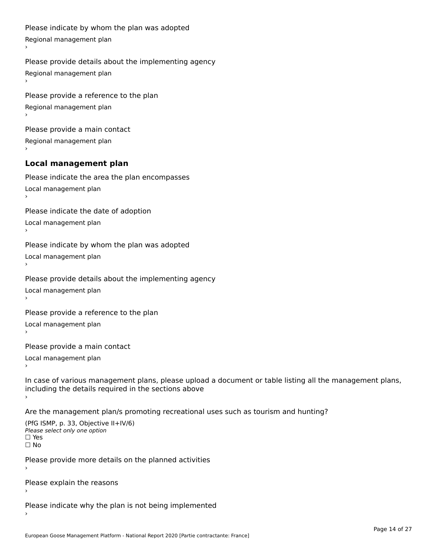```
Please indicate by whom the plan was adopted Regional management plan
Please provide details about the implementing agency Regional management plan
Please provide a reference to the plan Regional management plan
Please provide a main contact Regional management plan
Local management plan
Please indicate the area the plan encompasses Local management plan›Please indicate the date of adoption Local management plan١,
Please indicate by whom the plan was adopted Local management plan›Please provide details about the implementing agency Local management plan١,
Please provide a reference to the plan Local management plan›Please provide a main contact Local management plan١,
In case of various management plans, please upload a document or table listing all the management plans,in case or various management plans, please upload
including the details required in the sections above
Are the management plan/s promoting recreational uses such as tourism and hunting?
```

```
(PfG ISMP, p. 33, Objective II+IV/6)
Please select only one option☐ Yes☐ No
```
Please provide more details on the planned activities

Please explain the reasons›

Please indicate why the plan is not being implemented›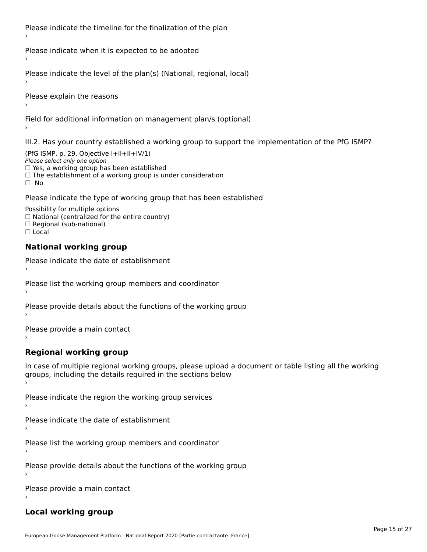Please indicate the timeline for the finalization of the plan

Please indicate when it is expected to be adopted

Please indicate the level of the plan(s) (National, regional, local)

Please explain the reasons

Field for additional information on management plan/s (optional)

III.2. Has your country established a working group to support the implementation of the PfG ISMP?

(PfG ISMP, p. 29, Objective  $I+II+II+IV/1$ ) Please select only one option □ Yes, a working group has been established □ Tes, a working group has been established<br>□ The establishment of a working group is under consideration

Please indicate the type of working group that has been established

Possibility for multiple options ™assibility for multiple options<br>□ National (centralized for the entire country) □ National (centralized io<br>□ Regional (sub-national)  $\Box$  Local

#### **National working group**

›

Please indicate the date of establishment

Please list the working group members and coordinator ›

Please provide details about the functions of the working group ›

Please provide a main contact ›

**Regional working group**

In case of multiple regional working groups, please upload a document or table listing all the working In case of multiple regional working groups, please upload a<br>groups, including the details required in the sections below

Please indicate the region the working group services ›

Please indicate the date of establishment ›

Please list the working group members and coordinator ›

Please provide details about the functions of the working group ›

Please provide a main contact ›

# **Local working group**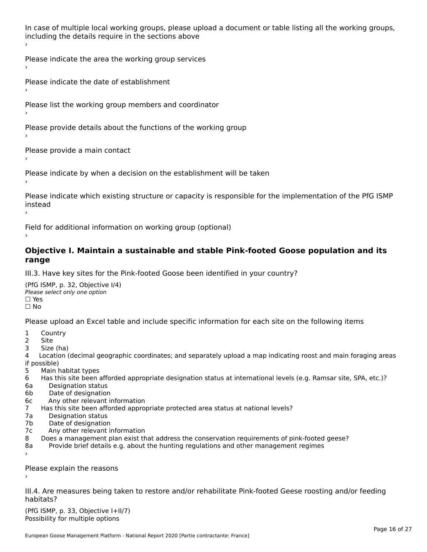In case of multiple local working groups, please upload a document or table listing all the working groups, including the details require in the sections above

Please indicate the area the working group services ›

Please indicate the date of establishment ›

Please list the working group members and coordinator

›

Please provide details about the functions of the working group ›

Please provide a main contact ›

Please indicate by when a decision on the establishment will be taken

Please indicate which existing structure or capacity is responsible for the implementation of the PfG ISMP instead ›

Field for additional information on working group (optional)

### **Objective I. Maintain a sustainable and stable Pink-footed Goose population and its range**range

III.3. Have key sites for the Pink-footed Goose been identified in your country?

(PfG ISMP, p. 32, Objective I/4)Please select only one option ☐ Yes☐ No

Please upload an Excel table and include specific information for each site on the following items

- $1 \quad \alpha$
- 2 Site
- 2 Site<br>3 Size (ha)

د حدد una<br>4 Location (decimal geographic coordinates; and separately upload a map indicating roost and main foraging areas 4 Location<br>if possible)

- 5 Main habitat types
- 6 Has this site been afforded appropriate designation status at international levels (e.g. Ramsar site, SPA, etc.)? 6. Bestweetter status
- 6a Designation status<br>6b Date of designation
- 
- 6c Any other relevant information
- 7 Has this site been afforded appropriate protected area status at national levels? 7a Designation status
- 7a Designation status<br>7b Date of designation
- 
- 7c Any other relevant information
- 8 Does a management plan exist that address the conservation requirements of pink-footed geese?
- 8a Provide brief details e.g. about the hunting regulations and other management regimes ›

Please explain the reasons

III.4. Are measures being taken to restore and/or rehabilitate Pink-footed Geese roosting and/or feeding habitats?

 $(PCI GMP, p. 33, Qb)$  is the I+II/7) Possibility for multiple optionsPossibility for multiple options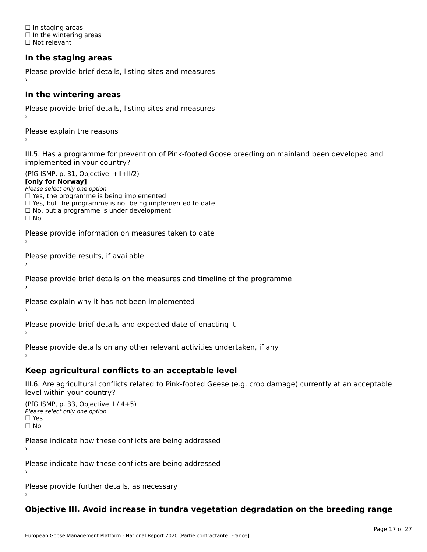☐ In staging areas □ in staging areas<br>□ In the wintering areas ☐ Not relevant

# **In the staging areas**

```
Please provide brief details, listing sites and measures ›
```
#### **In the wintering areas**

Please provide brief details, listing sites and measures ›

Please explain the reasons

III.5. Has a programme for prevention of Pink-footed Goose breeding on mainland been developed and implemented in your country?

(PfG ISMP, p. 31, Objective I+II+II/2)

**[only for Norway]**

Please select only one option riease select only one option<br>□ Yes, the programme is being implemented

 $\Box$  ies, the programme is being implemented to date  $\Box$  Yes, but the programme is not being implemented to date

 $\Box$  No, but a programme is under development

Please provide information on measures taken to date

Please provide results, if available

Please provide brief details on the measures and timeline of the programme

Please explain why it has not been implemented

Please provide brief details and expected date of enacting it

Please provide details on any other relevant activities undertaken, if any›

**Keep agricultural conflicts to an acceptable level**

III.6. Are agricultural conflicts related to Pink-footed Geese (e.g. crop damage) currently at an acceptable

```
(PfG ISMP, p. 33, Objective II (4+5))
Please select only one option
☐ Yes☐ No
```
Please indicate how these conflicts are being addressed

Please indicate how these conflicts are being addressed›

Please provide further details, as necessary ›

# **Objective III. Avoid increase in tundra vegetation degradation on the breeding range**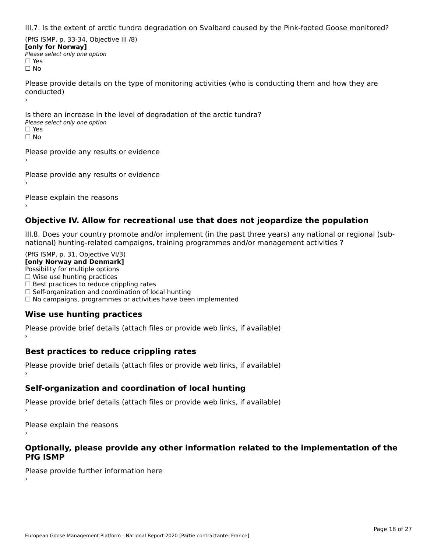III.7. Is the extent of arctic tundra degradation on Svalbard caused by the Pink-footed Goose monitored?

(PfG ISMP, p. 33-34, Objective III /8) **[only for Norway] Please select only one option** □ Yes<br>□ No

Please provide details on the type of monitoring activities (who is conducting them and how they are riease prov ›

Is there an increase in the level of degradation of the arctic tundra? □ CitCre dir increduce in c<br>Please select only one option □ Yes<br>□ No

Please provide any results or evidence

Please provide any results or evidence

Please explain the reasons

›

**Objective IV. Allow for recreational use that does not jeopardize the population**

III.8. Does your country promote and/or implement (in the past three years) any national or regional (sub $m.0.168$  your country promove and/or miplement (in the past time years) any national or

(PfG ISMP, p. 31, Objective VI/3) **[only Norway and Denmark]** Possibility for multiple options ☐ Wise use hunting practices  $\Box$  wise use numing practices<br> $\Box$  Best practices to reduce crippling rates □ Best practices to reduce crippinig rates<br>□ Self-organization and coordination of local hunting □ Sen-organization and coordination or local nunting<br>□ No campaigns, programmes or activities have been implemented

# **Wise use hunting practices**

Please provide brief details (attach files or provide web links, if available) ›

# **Best practices to reduce crippling rates**

Please provide brief details (attach files or provide web links, if available)

# **Self-organization and coordination of local hunting**

Please provide brief details (attach files or provide web links, if available)

Please explain the reasons

### **Optionally, please provide any other information related to the implementation of the PfG ISMP**

Please provide further information here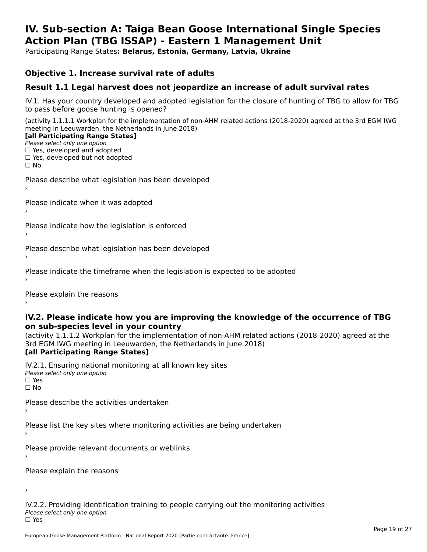### **IV. Sub-section A: Taiga Bean Goose International Single Species Action Plan (TBG ISSAP) - Eastern 1 Management UnitAction Plan (TBG ISSAP) - Eastern 1 Management Unit**

Participating Range States**: Belarus, Estonia, Germany, Latvia, Ukraine** 

## **Objective 1. Increase survival rate of adults**

# **Result 1.1 Legal harvest does not jeopardize an increase of adult survival rates**

IV.1. Has your country developed and adopted legislation for the closure of hunting of TBG to allow for TBG IV.1. Thas your country developed and add<br>to pass before goose hunting is opened?

(activity 1.1.1.1 Workplan for the implementation of non-AHM related actions (2018-2020) agreed at the 3rd EGM IWG meeting in Leeuwarden, the Netherlands in June 2018) **[all Participating Range States]**

#### [all Participating Range States]

Please select only one option ☐ Yes, developed and adopted

☐ Yes, developed but not adopted

 $\Box$  ies, developed but not adopted

Please describe what legislation has been developed

Please indicate when it was adopted

Please indicate how the legislation is enforced

Please describe what legislation has been developed

Please indicate the timeframe when the legislation is expected to be adopted

Please explain the reasons

### **IV.2. Please indicate how you are improving the knowledge of the occurrence of TBG on sub-species level in your country**on sub-species level in your country

on sub-species fever in your country<br>(activity 1.1.1.2 Workplan for the implementation of non-AHM related actions (2018-2020) agreed at the **Brd EGM IWG meeting in Leeuwarden, the Netherlands in June 2018)** 

### [all Participating Range States]

IV.2.1. Ensuring national monitoring at all known key sites <del>■ Western Chroning</del> Hational<br>Please select only one option  $\square$  Yes ☐ No

Please describe the activities undertaken

Please list the key sites where monitoring activities are being undertaken

Please provide relevant documents or weblinks

Please explain the reasons

›

IV.2.2. Providing identification training to people carrying out the monitoring activities <del>■ Western Fortung</del> Recrement<br>Please select only one option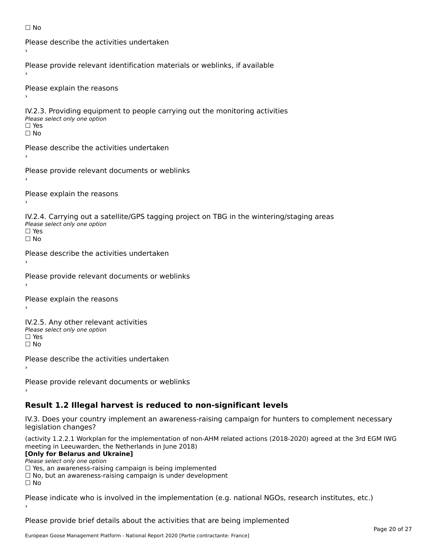```
☐ No
```

```
Please describe the activities undertaken›Please provide relevant identification materials or weblinks, if available
Please explain the reasons
IV.2.3. Providing equipment to people carrying out the monitoring activities
Please select only one option
☐ Yes□ Yes<br>□ No
Please describe the activities undertaken›Please provide relevant documents or weblinks
Please explain the reasons
IV.2.4. Carrying out a satellite/GPS tagging project on TBG in the wintering/staging areas
<del>∩</del><br>Please select only one option
□ Yes<br>□ No
Please describe the activities undertaken›Please provide relevant documents or weblinks
Please explain the reasons
IV.2.5. Any other relevant activities
Please select only one option
☐ Yes□ Yes<br>□ No
Please describe the activities undertaken›Please provide relevant documents or weblinks
Result 1.2 Illegal harvest is reduced to non-significant levels
```
IV.3. Does your country implement an awareness-raising campaign for hunters to complement necessary rv.5. Does your court<br>legislation changes?

(activity 1.2.2.1 Workplan for the implementation of non-AHM related actions (2018-2020) agreed at the 3rd EGM IWG meeting in Leeuwarden, the Netherlands in June 2018)

## **[Only for Belarus and Ukraine]**

Please select only one option

riease select only one option<br>□ Yes, an awareness-raising campaign is being implemented<br>□ Yes, an awareness-raising campaign is under development

□ No, but an awareness-raising campaign is under development<br>□ N。

Please indicate who is involved in the implementation (e.g. national NGOs, research institutes, etc.)

Please provide brief details about the activities that are being implemented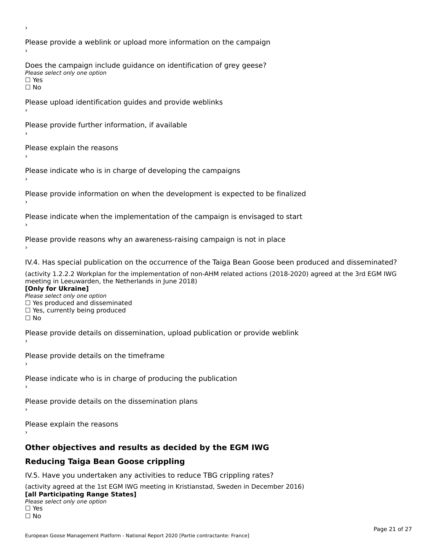Please provide a weblink or upload more information on the campaign Does the campaign include guidance on identification of grey geese? **DOCS** the campaign mer □ Yes<br>□ No Please upload identification guides and provide weblinks Please provide further information, if available Please explain the reasons Please indicate who is in charge of developing the campaigns Please provide information on when the development is expected to be finalized Please indicate when the implementation of the campaign is envisaged to start Please provide reasons why an awareness-raising campaign is not in place IV.4. Has special publication on the occurrence of the Taiga Bean Goose been produced and disseminated? (activity 1.2.2.2 Workplan for the implementation of non-AHM related actions (2018-2020) agreed at the 3rd EGM IWG **[Only for Ukraine] □ Yes produced and disseminated**<br>Please select only one option  $\Box$  ies produced and disseminated  $\Box$  ies, currently being produced Please provide details on dissemination, upload publication or provide weblink Please provide details on the timeframe Please indicate who is in charge of producing the publication Please provide details on the dissemination plans Please explain the reasons **Other objectives and results as decided by the EGM IWG Reducing Taiga Bean Goose crippling** IV.5. Have you undertaken any activities to reduce TBG crippling rates? (activity agreed at the 1st EGM IWG meeting in Kristianstad, Sweden in December 2016)

#### **[all Participating Range States]**[all Participating Range States]

**Law Tarticipating Range**<br>Please select only one option

□ Yes<br>□ No

›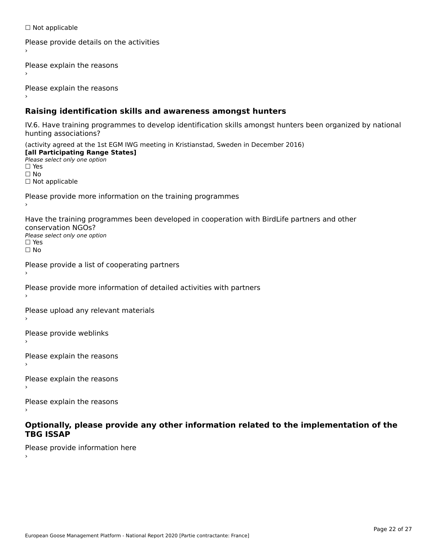☐ Not applicable

```
Please provide details on the activities
```
Please explain the reasons

Please explain the reasons

# **Raising identification skills and awareness amongst hunters**

IV.6. Have training programmes to develop identification skills amongst hunters been organized by national rv.o. riave training pro<br>hunting associations?

(activity agreed at the 1st EGM IWG meeting in Kristianstad, Sweden in December 2016) **[all Participating Range States]**[all Participating Range States] **Lan Tarticipating Range**<br>Please select only one option ☐ Yes☐ No□ Not applicable

Please provide more information on the training programmes

Have the training programmes been developed in cooperation with BirdLife partners and other conservation NGOs?Please select only one option☐ Yes☐ No

```
Please provide a list of cooperating partners
```
Please provide more information of detailed activities with partners

Please upload any relevant materials

Please provide weblinks

Please explain the reasons

Please explain the reasons›

Please explain the reasons

### **Optionally, please provide any other information related to the implementation of the TBG ISSAP**

Please provide information here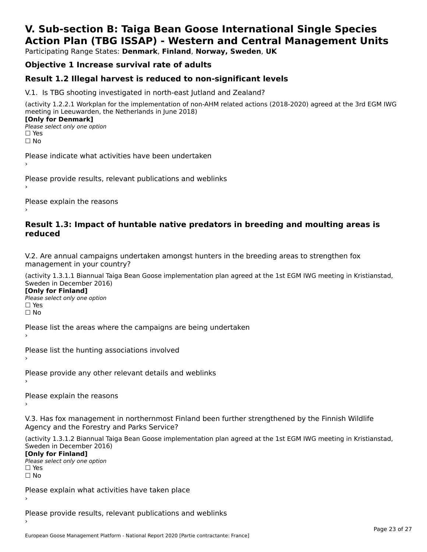# **V. Sub-section B: Taiga Bean Goose International Single SpeciesAction Plan (TBG ISSAP) - Western and Central Management Units**

Participating Range States: **Denmark**, **Finland**, **Norway, Sweden**, **UK**

# **Objective 1 Increase survival rate of adults**

# **Result 1.2 Illegal harvest is reduced to non-significant levels**

V.1. Is TBG shooting investigated in north-east Jutland and Zealand?

(activity 1.2.2.1 Workplan for the implementation of non-AHM related actions (2018-2020) agreed at the 3rd EGM IWG meeting in Leeuwarden, the Netherlands in June 2018) **[Only for Denmark] LOTTLY TOT DETITIONS**<br>Please select only one option

*riease*<br>□ Yes<br>□ No

Please indicate what activities have been undertaken›

Please provide results, relevant publications and weblinks ›

Please explain the reasons

### **Result 1.3: Impact of huntable native predators in breeding and moulting areas is reduced**

V.2. Are annual campaigns undertaken amongst hunters in the breeding areas to strengthen fox v.z. Are annual campaigns und<br>management in your country?

(activity 1.3.1.1 Biannual Taiga Bean Goose implementation plan agreed at the 1st EGM IWG meeting in Kristianstad, Sweden in December 2016)

**[Only for Finland]** Please select only one optionriease<br>□ Yes □ Yes<br>□ No

Please list the areas where the campaigns are being undertaken

Please list the hunting associations involved

Please provide any other relevant details and weblinks ›

Please explain the reasons›

V.3. Has fox management in northernmost Finland been further strengthened by the Finnish Wildlife v.5. Has fox management in northernmost F<br>Agency and the Forestry and Parks Service?

(activity 1.3.1.2 Biannual Taiga Bean Goose implementation plan agreed at the 1st EGM IWG meeting in Kristianstad, Sweden in December 2016) Sweden in December 2016)

[Only for Finland]

**Please select only one option** □ Yes<br>□ No

Please explain what activities have taken place

Please provide results, relevant publications and weblinks ›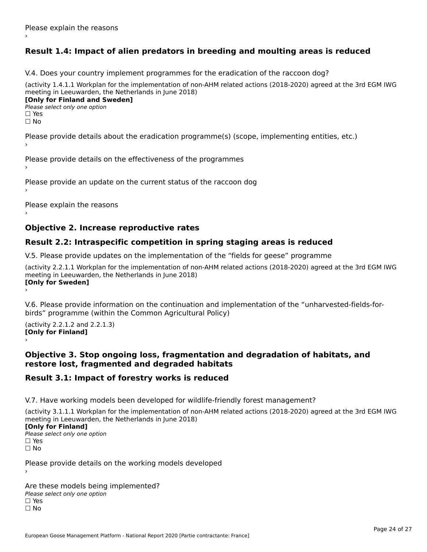# **Result 1.4: Impact of alien predators in breeding and moulting areas is reduced**

V.4. Does your country implement programmes for the eradication of the raccoon dog?

(activity 1.4.1.1 Workplan for the implementation of non-AHM related actions (2018-2020) agreed at the 3rd EGM IWG meeting in Leeuwarden, the Netherlands in June 2018) **[Only for Finland and Sweden]**

**Please select only one option** 

□ Yes<br>□ No

Please provide details about the eradication programme(s) (scope, implementing entities, etc.)

Please provide details on the effectiveness of the programmes

Please provide an update on the current status of the raccoon dog

Please explain the reasons

# **Objective 2. Increase reproductive rates**

# **Result 2.2: Intraspecific competition in spring staging areas is reduced**

V.5. Please provide updates on the implementation of the "fields for geese" programme

(activity 2.2.1.1 Workplan for the implementation of non-AHM related actions (2018-2020) agreed at the 3rd EGM IWG meeting in Leeuwarden, the Netherlands in June 2018) **[Only for Sweden]**Loury for Swedent

V.6. Please provide information on the continuation and implementation of the "unharvested-fields-forbirds" programme (within the Common Agricultural Policy)birds" programme (within the Common Agricultural Policy)

(activity 2.2.1.2 and 2.2.1.3) **[Only for Finland]** ›

### **Objective 3. Stop ongoing loss, fragmentation and degradation of habitats, and restore lost, fragmented and degraded habitats**

# **Result 3.1: Impact of forestry works is reduced**

V.7. Have working models been developed for wildlife-friendly forest management?

(activity 3.1.1.1 Workplan for the implementation of non-AHM related actions (2018-2020) agreed at the 3rd EGM IWG meeting in Leeuwarden, the Netherlands in June 2018)

## **[Only for Finland]**

**Please select only one option** □ Yes<br>□ No

Please provide details on the working models developed

Are these models being implemented? ∩ne enese moders being<br>Please select only one option □ Yes<br>□ No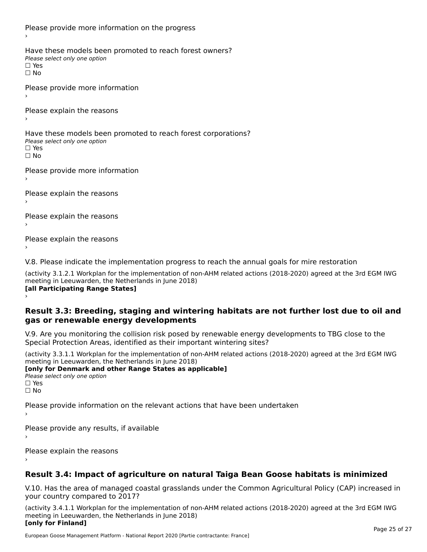Please provide more information on the progress Have these models been promoted to reach forest owners? ∩ave these models bee<br>Please select only one option □ Yes<br>□ No Please provide more information Please explain the reasons ›Have these models been promoted to reach forest corporations? ∩ave these models bee<br>Please select only one option □ Yes<br>□ No Please provide more information Please explain the reasons ›Please explain the reasons›Please explain the reasons›

V.8. Please indicate the implementation progress to reach the annual goals for mire restoration

(activity 3.1.2.1 Workplan for the implementation of non-AHM related actions (2018-2020) agreed at the 3rd EGM IWG meeting in Leeuwarden, the Netherlands in June 2018) **[all Participating Range States]** ›

**Result 3.3: Breeding, staging and wintering habitats are not further lost due to oil and gas or renewable energy developments**gas or renewable energy developments

V.9. Are you monitoring the collision risk posed by renewable energy developments to TBG close to the Special Protection Areas, identified as their important wintering sites?

(activity 3.3.1.1 Workplan for the implementation of non-AHM related actions (2018-2020) agreed at the 3rd EGM IWG meeting in Leeuwarden, the Netherlands in June 2018) **[only for Denmark and other Range States as applicable]**

```
Please select only one option
□ Yes<br>□ No
```
Please provide information on the relevant actions that have been undertaken ›

Please provide any results, if available

Please explain the reasons

# **Result 3.4: Impact of agriculture on natural Taiga Bean Goose habitats is minimized**

V.10. Has the area of managed coastal grasslands under the Common Agricultural Policy (CAP) increased in

(activity 3.4.1.1 Workplan for the implementation of non-AHM related actions (2018-2020) agreed at the 3rd EGM IWG meeting in Leeuwarden, the Netherlands in June 2018) **[only for Finland]**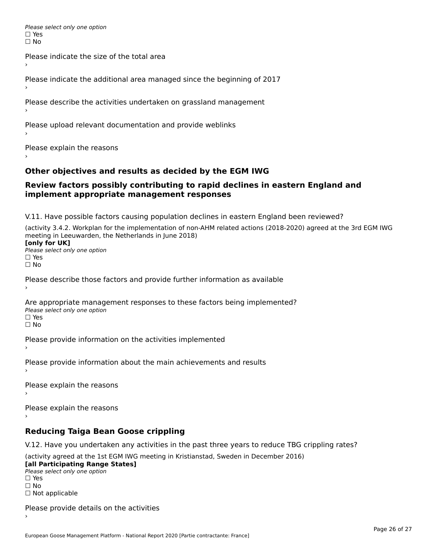Please select only one option □ Yes<br>□ No

Please indicate the size of the total area›

Please indicate the additional area managed since the beginning of 2017

Please describe the activities undertaken on grassland management

Please upload relevant documentation and provide weblinks

Please explain the reasons

# **Other objectives and results as decided by the EGM IWG**

### **Review factors possibly contributing to rapid declines in eastern England and implement appropriate management responses**implement appropriate management responses

V.11. Have possible factors causing population declines in eastern England been reviewed?

(activity 3.4.2. Workplan for the implementation of non-AHM related actions (2018-2020) agreed at the 3rd EGM IWG meeting in Leeuwarden, the Netherlands in June 2018)<br>**[only for UK]** 

**∐omy for OR**<br>Please select only one option □ Yes<br>□ No

Please describe those factors and provide further information as available

Are appropriate management responses to these factors being implemented? Please select only one option ים<br>⊡ No

Please provide information on the activities implemented

Please provide information about the main achievements and results›

Please explain the reasons

Please explain the reasons

**Reducing Taiga Bean Goose crippling**

V.12. Have you undertaken any activities in the past three years to reduce TBG crippling rates?

(activity agreed at the 1st EGM IWG meeting in Kristianstad, Sweden in December 2016) **[all Participating Range States]**

[all Participating Range States] Please select only one option☐ Yesים<br>⊡ No □ Not applicable

Please provide details on the activities